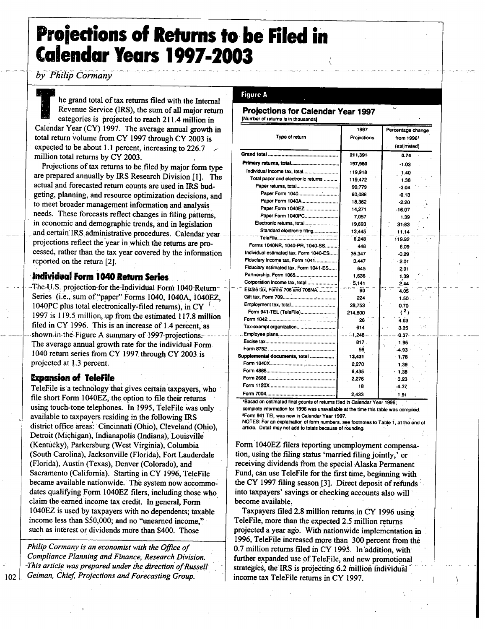# Projections of Returns to be Filed in Calendar Years **1997=2003**

*<u>by Philip Cormany</u>* 

**TEE** he grand total of tax returns filed with the Internal Revenue Service (IRS), the sum of all major return categories is projected to reach 211.4 million in Calendar Year (CY) **1997.** The average annual growth in total return volume from CY **1997** through CY **2003** is expected to be about **1. <sup>1</sup>** percent, increasing to **226.7** million total returns **by** CY **2003. <sup>1</sup>**

Projections of tax returns to be filed by major form type are prepared annually **by** IRS Research Division **[1].** The actual and forecasted return counts are used in IRS budgeting, planning, and resource optimization decisions, and to meet broader management information and analysis needs. These forecasts reflect changes in filing patterns, in economic and demographic trends, and in legislation and certain IRS administrative procedures. Calendar year. projections reflect the year in.which the returns are processed, rather than the tax year covered **by** the information reported on the return [2].

# Individual Form 1040 Return Series

The-U.S. projection-for the-Individual Form 1040 Return-Series (i.e., sum of "paper" Forms 1040, 1040A, 1040EZ, 1040PC plus total electronically-filed returns), in CY $<sup>1</sup>$ </sup> **<sup>1997</sup>** is **119.5.** million, up from the estimated **117.8** million filed in CY 1996. This is an increase of 1.4 percent, as shown in the Figure A summary of 1997-projections. The average annual growth rate for the individual Form <sup>1040</sup> return series from & **<sup>1997</sup>** through CY.2003.is projected at **1.3** percent.

#### Expansion of Teleffle

Telefile is <sup>a</sup> technology that gives certain taxpayers, who file short Form 1040EZ, the option to file their returns using touch-tone telephones. In 1995, TeleFile was only availa ble to taxpayers residing in the following IRS district office areas: Cincinnati (Ohio), Cleveland (Ohio), Detroit (Michigan), Indianapolis (Indiana); Louisville (Kentucky), Parkersburg (West Virginia), Columbia (South Carolina), Jacksonville (Florida), Fort Lauderdale (Florida), Austin (Texas), Denver (Colorado), and **-** Sacramento (California). Starting in CY **1996,** TeleFile became available nationwide. The system now accommodates qualifying Form 1040EZ filers, including those who claim the earned income tax credit. In general, Form 1040EZ is used by taxpayers with no dependents; taxable income less than \$50,000; and no "unearned income," such as interest or dividends more than \$400. Those

Philip Cormany is an economist with the Office of **..** Compliance Planning and Finance, Research Division. -This article was prepared under the direction of-Russell 102 Geiman, Chief, Projections and Forecasting Group.

#### Figure **A**

#### Projections for Calendar Year **1997** [Number of returns is in thousands)

|                                        | 1997        | Percentage change<br>from 1996 <sup>1</sup> |  |  |
|----------------------------------------|-------------|---------------------------------------------|--|--|
| Type of return                         | Projections |                                             |  |  |
|                                        |             | (estimated)<br>zi un                        |  |  |
|                                        | 211,391     | 0.74<br>٠                                   |  |  |
|                                        | 197.960     | $-1.03$                                     |  |  |
| Individual income tax, total           | 119,918     | 1.40                                        |  |  |
| Total paper and electronic returns     | 119.472     | 1.38                                        |  |  |
|                                        | 99,779      | $-3.04$                                     |  |  |
|                                        | 60,088      | $-0.13$                                     |  |  |
| Paper Form 1040A                       | 18,362      | $-2.20$                                     |  |  |
| Paper Form 1040EZ                      | 14,271      | $-16.07$                                    |  |  |
| Paper Form 1040PC                      | 7.057       | 139                                         |  |  |
|                                        | 19.693      | 31.83                                       |  |  |
| Standard electronic filing             | 13,445      | 11.14                                       |  |  |
| TeleFile                               | 6.248       | 119.92                                      |  |  |
| Forms 1040NR, 1040-PR, 1040-SS         | 446         | 6.09                                        |  |  |
| Individual estimated tax, Form 1040-ES | 35.347      | $-0.29$                                     |  |  |
| Fiduciary income tax, Form 1041        | 3.447       | $-2.01$                                     |  |  |
| Fiduciary estimated tax, Form 1041-ES  | 645         | 2.01                                        |  |  |
| Partnership, Form 1065                 | 1.636       | 1.39                                        |  |  |
| Corporation income tax, total          | $-5.141$    | 2.44                                        |  |  |
| Estate tax, Forms 706 and 706NA        | $90 -$      | 4.05                                        |  |  |
|                                        | 224         | $1.50 -$                                    |  |  |
|                                        | 28,753      | 0.70                                        |  |  |
| Form 941-TEL (TeleFile)                | 214,800     | (2)                                         |  |  |
|                                        | 26          | 4.03                                        |  |  |
|                                        | 614         | t ve<br>3.35                                |  |  |
|                                        |             | $-0.37-$                                    |  |  |
|                                        | 817.        | 1.95                                        |  |  |
|                                        | 56          | -493 -                                      |  |  |
| Supplemental documents, total          | 13,431      | 1.78                                        |  |  |
|                                        | 2.270       | 1.39                                        |  |  |
|                                        | 6.435       | $+1.38$                                     |  |  |
|                                        | 2.276       | $-3.23$                                     |  |  |
|                                        | 18          | $-4.37$                                     |  |  |
|                                        | 2.433       | 1.91                                        |  |  |

'Based on estimated final counts of returns **fled** in Calendar Year **1996; '** complete information for **1996** was unavailable at the time this table was compiled. **.** Worm 941 TEL was now in Calendar Year **1997.**

**NOTES: For an explaination of form numbers, see footnotes to Table 1, at the end of** article. Detail may not add to totals because of rounding.

Form 1040EZ filers reporting unemployment compensation, using the filing status 'married filing jointly,' or receiving dividends from the special Alaska Permanent Fund, can use TeleFile for the first time, beginning with the CY 1997 filing season [3]. Direct deposit of refunds into taxpayers' savings or checking accounts also will **'** become available.

Taxpayers filed **2.8** million returns,in CY **1996** using TeleFile, more than the expected **2.5** million returns projected a year ago. With nationwide implementation in **1996,** TeleFile increased more than **300** percent from the' 0.7 million returns filed in CY 1995. In addition, with further expanded use of TeleFile, and new promotional strategies, the IRS is projecting 6.2 million individual income tax TeleFile returns in CY **1997.**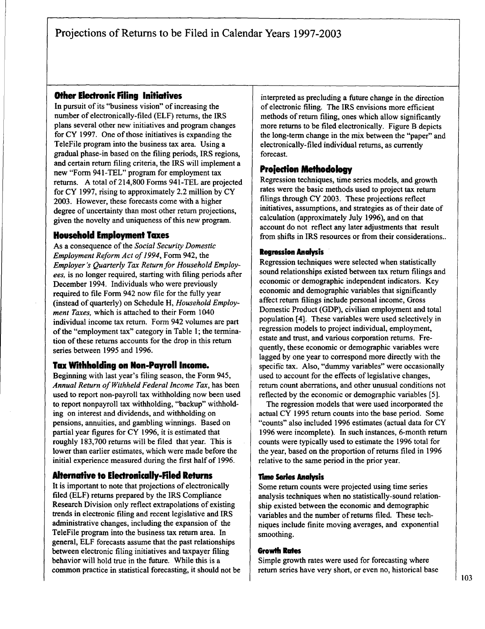# Projections of Returns to be Filed in Calendar Years **1997-2003**

# Other Electronic Filing Initiatives

In pursuit of its "business vision" of increasing the number of electronically-filed **(ELF)** returns, the IRS plans several other new initiatives and program changes for CY **1997.** One of those initiatives is expanding the TeleFile program into the business tax area. Using a gradual phase-in based on the filing periods, IRS regions, and certain return filing criteria, the IRS will implement <sup>a</sup> new "Form 94 **<sup>1</sup>** -TEL" program for employment tax returns. **A** total of 214,800 Forms 941 -TEL are projected for CY **1997,** rising to approximately 2.2 million **by** CY **2003.** However, these forecasts come with a higher degree of uncertainty than most other return projections, given the novelty and uniqueness of this new program.

#### Household Employment Taxes

As <sup>a</sup> consequence of the Social Security Domestic Employment Reform Act of 1994, Form 942, the Employer's Quarterly Tax Return for Household Employees, is no longer required, starting with filing periods after December 1994. Individuals who were previously required to file Form 942 now file for the fully year (instead of quarterly) on Schedule H, Household Employment Taxes, which is attached to their Form 1040 individual income tax return. Form 942 volumes are part ofthe "employment tax" category in Table **1;** the termination of these returns accounts for the drop in this return series between **1995** and **1996.**

#### Tax Withholding on Non-Payroll income.

Beginning with last year's filing season, the Form 945, Annual Return of Withheld Federal Income Tax, has been used to report non-payroll tax withholding now been used to report nonpayroll tax withholding, "backup" withholding on interest and dividends, and withholding on pensions, annuities, and gambling winnings. Based on partial year figures for CY **1996,** it is estimated that roughly **183,700** returns will be filed that year. This is lower than earlier estimates, which were made before the initial experience measured during the first half of **1996.**

#### Alternative to Electronically-Filed Returns

It is important to note that projections of electronically filed **(ELF)** returns prepared **by** the IRS Compliance Research Division only reflect extrapolations of existing trends in electronic filing and recent legislative and IRS administrative changes, including the expansion of the TeleFile program into the business tax return area. In general, **ELF** forecasts assume that the past relationships between electronic filing initiatives and taxpayer filing behavior will hold true in the future. While this is <sup>a</sup> common practice in statistical forecasting, it should not be interpreted as precluding a future change in the direction of electronic filing. The IRS envisions more efficient methods of return filing, ones which allow significantly more returns to be filed electronically. Figure B depicts the long-term change in the mix between the "paper" and electronically-filed individual returns, as currently forecast.

#### Projedion Methodology

Regression techniques, time series models, and growth rates were the basic methods used to project tax return filings through CY **2003.** These projections reflect initiatives, assumptions, and strategies as of their date of calculation (approximately July **1996),** and on that account do not reflect any later adjustments that result from shifts in IRS resources or from their considerations..

#### **Regression Analysis**

Regression techniques were selected when statistically sound relationships existed between tax return filings and economic or demographic independent indicators. Key economic and demographic variables that significantly affect return filings include personal income, Gross Domestic Product **(GDP),** civilian employment and total population [4]. These variables were used selectively in regression models to project individual, employment, estate and trust, and various corporation returns. Frequently, these economic or demographic variables were lagged **by** one year to correspond more directly with the specific tax. Also, "dummy variables" were occasionally used to account for the effects of legislative changes, return count aberrations, and other unusual conditions not reflected **by** the economic or demographic variables **[5].**

The regression models that were used incorporated the actual CY **1995** return counts into the base period. Some "counts" also included **1996** estimates (actual data for CY **1996** were incomplete). In such instances, 6-month return counts were typically used to estimate the **1996** total for the year, based on the proportion of returns filed in **1996** relative to the same period in the prior year.

#### rime **Series** Analysis

Some return counts were projected using time series analysis techniques when no statistically-sound relationship existed between the economic and demographic variables and the number of returns filed. These techniques include finite moving averages, and exponential smoothing.

#### Growth Rates

Simple growth rates were used for forecasting where return series have very short, or even no, historical base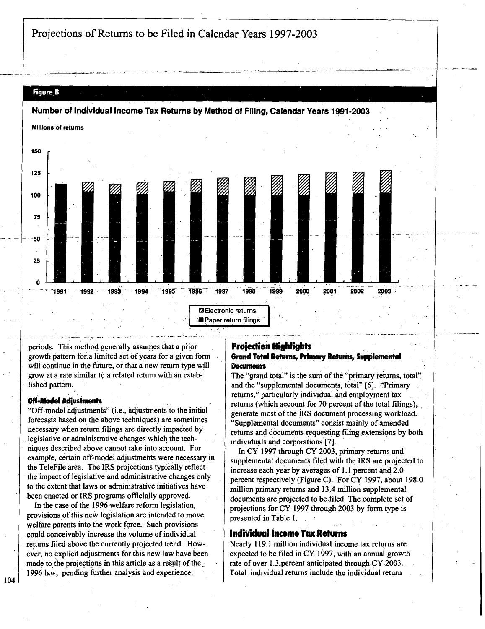Projections of Returns to be Filed in Calendar,Years **1997-2003**

# Figure. **6**



periods. This method generally assumes that a prior growth pattern for.a limited set **of**years for a given form will continue in the future, or that a new return type will grow at a rate similar to a related return with an established pattern.

#### Off-Model Adiustments

"Off-model adjustments" (i.e., adjustments to the initial forecasts based on the above techniques) are sometimes necessary when return filings are directly.impacted **by** legislative. or administrative changes which the techniques described above cannot take into account. For example, certain off-model adjustments were necessary in the TeleFile area. The IRS projections typically reflect the impact of legislative and administrati ve changes only **'**to the extent that laws or administrative initiatives have been enacted or IRS programs officially approved.

In the case of the **1996** welfare reform legislation, provisions of this new legislation are intended to move welfare parents into the work forc&. **Such** provisions could conceivably increase the volume of individual returns filed above the currently projected trend. However, no explicit adjustments for this new law have been made to the projections in this article as a result of the 1996 law, pending further analysis and experience.

#### Prolecrion Highlights Grand Total Returns, Primary Returns, Supplemental **Documents**

The "grand total" is the sum of the "primary returns, total" and the "supplemental documents, total" [6]. "Primary returns," particularly individual and employment tax returns (which account for 70 percent of the total filings), generate most of the IRS document processing workload. "Supplemental documents" consist mainly of amended returns and documents requesting filing extensions **by** both individuals and corporations **[7].**

In CY 1997 through CY 2003, primary returns and supplemental documents filed with the IRS are projected to increase each year **by** averages of **1. <sup>1</sup>** percent and 2.0 percent r6spectively (Figure **Q.** For CY **1997,** about **198.0** million primary returns and 13A million supplemental documents are projected to be filed. The complete set of projections for CY **1997** through **2003 by** form type is presented in Table **1.**

#### Individual Income Tax Returns

Nearly 119.1 million individual income tax returns are expected to be filed in CY **1097,** with an annual growth rate of over 1.3 percent anticipated through CY-2003. Total individual returns include the individual return

104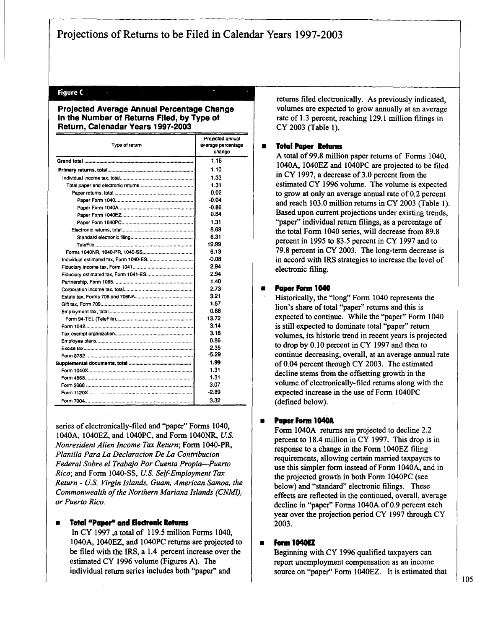#### Figure **<sup>C</sup>**

#### Projected Average Annual Percentage Change in the Number of Returns Filed, **by** Type of Return, Calenadar Years **1997-2003**

| Type of return | Projected annual<br>average percentage<br>change |  |  |
|----------------|--------------------------------------------------|--|--|
|                | 1.16                                             |  |  |
|                | 1.10                                             |  |  |
|                | 1.33                                             |  |  |
|                | 1.31                                             |  |  |
|                | 0.02                                             |  |  |
|                | $-0.04$                                          |  |  |
|                | -0.86                                            |  |  |
|                | 0.84                                             |  |  |
|                | 1.31                                             |  |  |
|                | 8.69                                             |  |  |
|                | 6.31                                             |  |  |
|                | 19.99                                            |  |  |
|                | 6.13                                             |  |  |
|                | $-0.08$                                          |  |  |
|                | 2.94                                             |  |  |
|                | 2.94                                             |  |  |
|                | 1.40                                             |  |  |
|                | 2.73                                             |  |  |
|                | 3.21                                             |  |  |
|                | 1.57                                             |  |  |
|                | 0.88                                             |  |  |
|                | 13.72                                            |  |  |
|                | 3.14                                             |  |  |
|                | 3.18                                             |  |  |
|                | 0.86                                             |  |  |
|                | 2.35                                             |  |  |
|                | $-5.29$                                          |  |  |
|                | 1.99                                             |  |  |
|                | 1.31                                             |  |  |
|                | 1.31                                             |  |  |
|                | 3.07                                             |  |  |
|                | $-2.89$                                          |  |  |
|                | 3.32                                             |  |  |

series of electronically-filed and "paper" Forms 1040, 1040A, 1040EZ, and 104OPC, and Form 104ONR, **U.S.** Nonresident Alien Income Tax Return; Form 1040-PR, Planilla Para La Declaracion De La Contribucion Federal Sobre el Trabajo Por Cuenta Propia-Puerto Rico; and Form **1040-SS, U.S.** Self-Employment Tax Return **- U.S.** Virgin Islands, Guam, American Samoa, the Commonwealth of the Northern Mariana Islands (CNMI), or Puerto Rico.

#### **Total "Paper" and Electronic Returns**

In CY **1997** <sup>a</sup> total of **119.5** million Forms 1040, 1040A, 1040EZ, and 104OPC returns are projected to be filed with the IRS, a 1.4 percent increase over the estimated CY **1996** volume (Figures **A).** The individual return series includes both "paper" and

returns filed electronically. As previously indicated, volumes are expected to grow annually at an average rate of **1.3** percent, reaching **129.1** million filings in CY **2003** (Table **1).**

#### **fill Total Paper Returns**

**A** total of **99.8** million paper returns of Forms 1040, 1040A, 1040EZ and 104OPC are projected to be filed in CY **1997,** a decrease of **3.0** percent from the estimated CY **1996** volume. The volume is expected to grow at only an average annual rate of 0.2 percent and reach **103.0** million returns in CY **2003** (Table **1).** Based upon current projections under existing trends, "paper" individual return filings, as a percentage of the total Form <sup>1040</sup> series, will decrease from **89.8** percent in **1995** to **83.5** percent in CY **1997** and to **79.'8** percent in CY **2003.** The long-term decrease is in accord with IRS strategies to increase the level of electronic filing.

#### a Paper Form 1040

Historically, the "long" Form 1040 represents the lion's share of total "paper" returns and this is expected to continue. While the "paper" Form 1040 is still expected to dominate total "paper" return volumes, its historic trend in recent years is projected to drop **by 0. 10** percent in CY **1997** and then to continue decreasing, overall, at an average annual rate of 0.04 percent through CY **2003.** The estimated decline stems from the offsetting growth in the volume of electronically-filed returns along with the expected increase in the use of Form 104OPC (defined below).

#### **a** Paper Form 1040A

Form 1040A returns are projected to decline 2.2 percent to 18.4 million in CY **1997.** This drop is in response to a change in the Form 1040EZ filing requirements, allowing certain married taxpayers to use this simpler form instead of Form 1040A, and in the projected growth in both Form 104OPC (see below) and "standard" electronic filings. These effects are reflected in the continued, overall, average decline in "paper" Forms 1040A of **0.9** percent each year over the projection period CY **1997** through CY **2003.**

#### **Form 1040EZ**

Beginning with CY **1996** qualified taxpayers can report unemployment compensation as an income source on "paper" Form 1040EZ. It is estimated that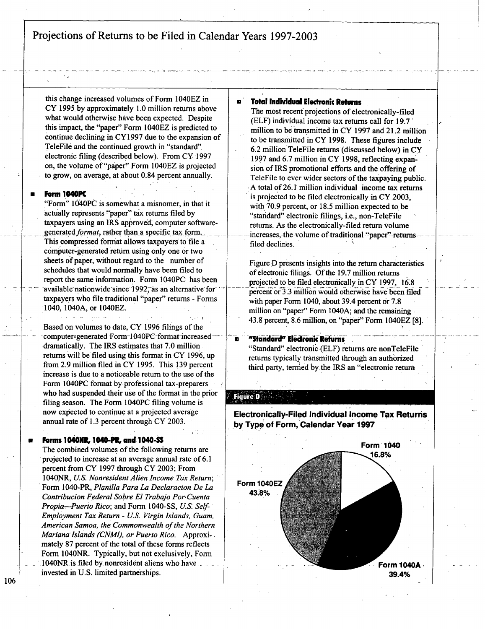Pro**i**ections of Returns to be Filed in Calendar Years **1997-2003**

this change increased volumes of Form 1040EZ in CY **1995. by** approximately **1.0** million returns above what would otherwise have been expected. Despite this impact, the "paper" Form 1040EZ is predicted to continue declining in CY **1997** due to the expansion of TeleFile and the continued growth in "standard" electronic filing (described below). From **CY,1997** on, the volume of "paper" Form 1040EZ is projected to grow, on average, at about 0.84 percent annually.

#### **Form 1040PC**

"Form" 1040PC is somewhat a misnomer, in that it actually represents "paper" tax returns filed by taxpayers using an IRS approved, computer softwaregenerated format, rather than a specific tax form. This compressed format allows taxpayers to file a cornputer-generated return using only one or two sheets of paper, without regard to the number of schedules that would normally have been filed to report the same information. Form 1040PC has been available nationwide since 1992, as an alternative for taxpayers who file traditional "paper" returns **-** Forms 1040,1040A, or 1040EZ.

Based on volumes to date, CY **1996** filings of the computer-generated Form-1040PC-format-increaseddramatically. The IRS estimates that **7.0** million. returns will be filed using this format in CY 1996, up from **2.9** million filed in CY **1995.** This **139** percent increase is due to <sup>a</sup> noticeable return to the use of the Form 104OPC format **by** professional tax-preparers who had suspended their use of the format in the prior filing season. The Form 104OPC filing volume is now expected to continue at a projected average annual rate of **1.3** percent through CY **2003. ,**

#### **a** Forms 1040MR, I040-101t, **and 1040-SS**

The combined volumes of the following returns are projected to increase at an average annual rate of **6.1** percent ftom CY **1997** through CY **2003;** From 1040 NR, **U.S.** Nonresident Alien Income Tax Return; **'** Form 1040-PR, Planilla Para La Declaracion De La Contribucion Federal Sobre **El** Trabajo Por,Cuenta Propia-,Puerto Rico; and Form **1040-SS, US.** Setf-Employment Tax Return **- US.** Virgin Islands, Guam, American Samoa, the Commonwealth of the Northern Mariana Islands (CNMI), or Puerto Rico. Approxi-. mately 87 percent of the total of these forms reflects Form 104ONR. Typically, but not exclusively, Form 1040NR -is filed **by** nonresident aliens who have invested in **U.S.** limited partnerships.

#### Total Individual Electronic Returns

The most recent projections of electronically-filed **(ELF)** individual income tax returns call for **19.7'** million to be transmitted in CY **1997** and 21.2 million to be transmitted in CY **1998.** These figures include **6.2** million TeleFile returns (discussed below) in CY **1997** and **6.7** million in CY **1998,** reflecting expansion of IRS promotional efforts and the offering of TeleFile to ever wider sectors of the taxpaying public. **A** total of **26.1** million individual income tax returns is projected to be filed electronically in CY **2003,** with **70.9** percent, or **18.5** million expected to, be "standard" electronic filings, i.e., non-TeleFile returns. As the electronically-filed return volume increases, the volume of traditional "paper" returnsfiled declines.

Figure **D** presents insights into the return characteristics of electronic filings'. **Of**the **19.7** million returns projected to be filed electronically in CY **1997, 16.8** percent or **3.3** million would otherwise have been filed with paper Form 1040, about 39.4 percent or **7.8** million on "paper" Form 104OA; and the remaining 43.8 percent, **8.6** million, on "paper" Form 1040EZ **[8].**

#### "Standard" Electronic Returns

"Standard" electronic **(ELF)** returns are nonTeleFile returns typically transmitted through an authorized third party, termed by the IRS an "electronic return

#### **Figure D**



**106**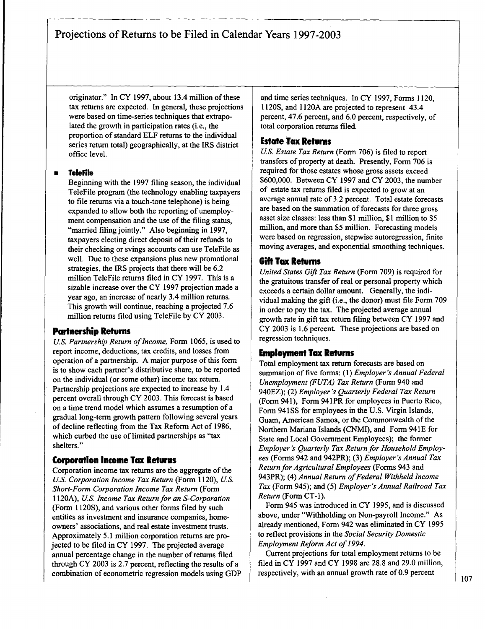originator." In CY 1997, about 13.4 million of these tax returns are expected. In general, these projections were based on time-series techniques that extrapolated the growth in participation rates (i.e., the proportion of standard **ELF** returns to the individual series return total) geographically, at the IRS district office level.

#### **<sup>m</sup>** Telerile

Beginning with the **1997** filing season, the individual TeleFile program (the technology enabling taxpayers to file returns via a touch-tone telephone) is being expanded to allow both the reporting of unemployment compensation and the use of the filing status, "married filing jointly." Also beginning in **1997,** taxpayers electing direct deposit of their refunds to their checking or svings accounts can use TeleFile as well. Due to these expansions plus new promotional strategies, the IRS projects that there will be **6.2** million TeleFile returns filed in CY **1997.** This is a sizable increase over the CY **1997** projection made a year ago, an increase of nearly 3.4 million returns. This growth will continue, reaching <sup>a</sup> projected **7.6** million returns filed using TeleFile **by** CY **2003.**

# Partnership Returns

**U.S. Partnership Return of Income, Form 1065, is used to** report income, deductions, tax credits, and losses from operation of a partnership. **A** major purpose of this form is to show each partner's distributive share, to be reported on the individual (or some other) income tax return. Partnership projections are expected to increase **by** 1.4 percent overall through CY **2003.** This forecast is based on <sup>a</sup> time trend model which assumes <sup>a</sup> resumption of <sup>a</sup> gradual long-term growth pattern following several years of decline reflecting from the Tax Reform Act of **1986,** which curbed the use of limited partnerships as "tax shelters."

# Corporation Income Tax Returns

Corporation income tax returns are the aggregate of the **U.S.** Corporation Income Tax Return (Form 1120), **U.S.** Short-Form Corporation Income Tax Return (Form 1120A), U.S. Income Tax Return for an S-Corporation (Form **I 120S),** and various other forms filed **by** such entities as investment and insurance companies, homeowners' associations, and real estate investment trusts. Approximately **5.1** million corporation returns are projected to be filed in CY **1997.** The projected average annual percentage change in the number of returns filed through CY **2003** is **2.7** percent, reflecting the results of <sup>a</sup> combination of econometric regression models using **GDP** and time series techniques. In CY **1997,** Forms **<sup>1</sup>** 120, **<sup>1</sup> 120S,** and **I 120A** are projected to represent 43.4 percent, 47.6 percent, and **6.0** percent, respectively, of total corporation returns filed.

# **Estate Tax Returns**

**U.S.** Estate Tax Return (Form **706)** is filed to report transfers of property at death. Presently, Form **706** is required for those estates whose gross assets exceed **\$600,000.** Between CY **1997** and CY **2003,** the number of estate tax returns filed is expected to grow at an average annual rate of **3.2** percent. Total estate forecasts are based on the summation of forecasts for three gross asset size classes: less than **\$1** million, **\$1** million to **\$5** million, and more than **\$5** million. Forecasting models were based on regression, stepwise autoregression, finite moving averages, and exponential smoothing techniques.

# Gift Tax Returns

United States Gift Tax Return (Form **709)** is required for the gratuitous transfer of real or personal property which exceeds a certain dollar amount. Generally, the individual making the gift (i.e., the donor) must file Form **709** in order to pay the tax. The projected average annual growth rate in gift tax return filing between CY **1997** and CY **2003** is **1.6** percent. These projections are based on regression techniques.

# Employment Tax Returns

Total employment tax return forecasts are based on summation of five forms: **(1)** Employer's Annual Federal Unemployment **(FUTA)** Tar Return (Form 940 and 940EZ); (2) Employer's Quarterly Federal Tax Return (Form 941), Form 941PR for employees in Puerto Rico, Form 941SS for employees in the U.S. Virgin Islands, Guam, American Samoa, or the Commonwealth of the Northern Mariana Islands **(CNMI),** and Form 941E for State and Local Government Employees); the former Employer's Quarterly Tax Return for Household Employees (Forms 942 and 942PR); **(3)** Employer's Annual Tax Return for Agricultural Employees (Forms 943 and 943PR); (4) Annual Return of Federal Withheld Income Tax (Form 945); and **(5)** Employer's Annual Railroad Tax Return (Form **CT-1).**

Form 945 was introduced in CY **1995,** and is discussed above, under "Withholding on Non-payroll Income." As already mentioned, Form 942 was eliminated in CY **1995** to reflect provisions in the Social Security Domestic Employment Reform Act of 1994.

Current projections for total employment returns to be filed in CY **1997** and CY **1998** are **28.8** and **29.0** million, respectively, with an annual growth rate of **0.9** percent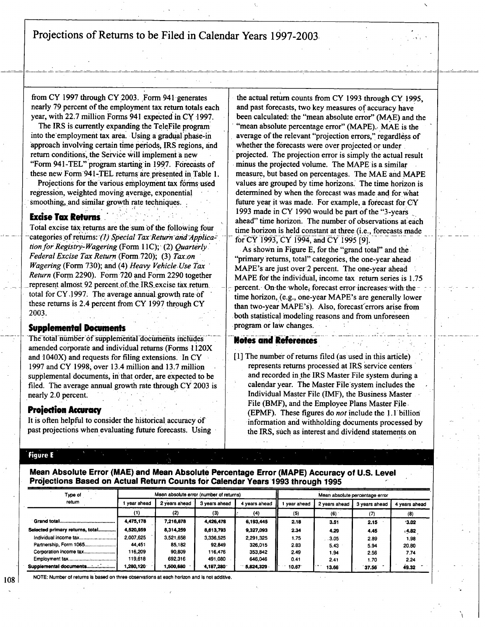Projections of Returns to be Filed in Calendar Years 1997-2003.

from CY 1997 through CY 2003. Form 941 generates **\* '** nearly **79** percent of the. employment tax return totals each year, with 22.7 million Forms 941 expected in CY 1997.

The IRS is currently expanding the TeleFile program into the employment tax area. Using a gradual phase-in approach involving certain time periods, IRS regions, and return conditions, the Service will implement a new "Form <sup>941</sup> -TEL" program starting in **1997.** Forecasts of these new Form'941-TEL returns. are.presented in**'**Table **1.**

Projections for the various employment tax forms used regression, weighted moving average, exponential smoothing, and similar growth rate techniques.

# **Excise Tax Returns**

**Z**

Total excise tax:returns, are the surn **of** the following four categories of returns: (1) Special Tax Return and Application for Registry-Wagering (Form 11C); (2) Quarterly. Federal Excise Tax Return (Form 720); (3) Tax:on Wagering (Form 730); and (4) Heavy Vehicle Use Tax Return (Form **2290).** Form **720** and Form **2290** together represent almost 92 percent of the IRS excise tax return. total for CY, **1997;** The average annual, growth rate **of** these returns is 2.4 percent from CY **1997** through CY **2003.**

#### **Supplemental Documents**

The total number of supplemental documents includes amended corporate and individual returns-(Forms **I <sup>1</sup>** 20X and 1040X) and requests for filing extensions. In CY **1997** and CY **1998~** over 13.4 million and **13.7** million supplemental documents, in that order, are expected to be filed. The average annual growth rate through CY **2003** is nearly 2.0 percent.

#### **Projection Accuracy**

It is often helpful to consider the historical, accuracy **of** past projections when evaluating future forecasts. Using

the actual return counts from CY **1993** through CY. **1995,** and past forecasts, two key measures of accuracy have been calculated: the "mean absolute error" (MAE) and the "mean absolute percentage error" **(MAPE).. MAE** is the average of the relevant "projection errors," regardless of whether the forecasts were over projected or under **.** projected. The projection error is simply the actual result minus the projected volume. The MAPE is <sup>a</sup> similar measure, but based on percentages. The **MAE** and MAPE values are grouped **by** time horizons.' The time horizon is determined **by** when the forecast was made and forwhat future year it was made. For example, a forecast for CY 1993 made in CY 1990 would be part of the "3-years ahead" time horizon. The number of observations at each time horizon is held constant at three (i.e., forecasts made for CY 1993, CY 1994, and CY 1995 [9].

As shown in Figure **E,** for the "grand total" and the "primary returns, total" categories, the one-year ahead MAPE's are just over 2 percent. The one-year ahead **MAPE** for the individual, income tax return series is **1.75** percent. On the whole, forecast error increases with the time horizon, (e.g., one-year MAPE's are generally lower than two-year MAPE's). Also, forecast errors arise from both statistical modeling reasons and from unforeseen program or law changes.

#### **Notes and References**

**[1]** The number ofreturns filed (as'used in this article) represents returns processed at IRS service centers and recorded in the IRS Master File system during a calendar year. The Master File system includes the Individual Master File (IMF), the Business Master File (BMF), and the Employee Plans Master File, (EPMF). These figures do not include the 1.1 billion information and withholding documents processed by the IRS, such as interest and dividend statement**.**s,on

#### figure **<sup>E</sup>**

Mean Absolute Error **(MAE)** and Mean Absolute Percentage Error (MAPE) Accuracy of **U.S.** Level Projections Based on Actual Return Counts for Calendar Years'1993 through **1995 \***

| Type of                         | Mean absolute error (number of returns) |               |               |               | Mean absolute percentage error |               |               |               |  |
|---------------------------------|-----------------------------------------|---------------|---------------|---------------|--------------------------------|---------------|---------------|---------------|--|
| return                          | vear ahead                              | 2 years ahead | 3 years ahead | 4 years ahead | year ahead                     | 2 years ahead | 3 years ahead | 4 years ahead |  |
|                                 | (1)                                     | (2)           | (3)           | (4)           | (5)                            | (6)           |               | (8)           |  |
|                                 | 4,475,178                               | 7,216,878     | 4,426,478     | 6,193,445     | 2.18                           | 3.51          | 2.15          | 3.02          |  |
| Selected primary returns, total | 4,520,959                               | 8,314,259     | 8,613,793     | 9,327,093     | 2.34                           | 4.29          | 4.45          | .4.82         |  |
|                                 | 2.007.625                               | 3,521,658     | 3,336,525     | 2.291.325     | 1.75                           | .3.05         | 2.89          | 198           |  |
| Partnership, Form 1065          | 44.451                                  | 85,182        | 92.849        | 326,015       | 2.83                           | 5.43          | 5.94          | 20.80         |  |
| Corporation income tax          | 116,209                                 | 90,809        | 116,476       | 353 842       | 2.49                           | 1.94          | 2.56          | 7.74          |  |
|                                 | 119,618                                 | 692 316       | 491.080       | 646,046       | 0.41                           | 2.41          | 1.70          | 2.24          |  |
|                                 | <b>280,120</b> . ا                      | 1,500,680     | 4,187,280     | 5,824,329     | 10.67                          | 13.66         | 37.56         | 49.32         |  |

**NOTE:** Number of returns is based on three observations at each horizon and Is not additive.

**1081**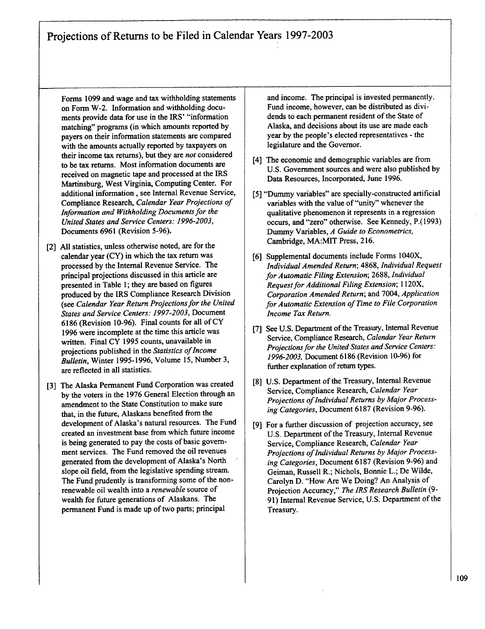Projections of Returns to be Filed in Calendar Years **1997-2003**

Forms **1099** and wage and tax withholding statements on Form W-2. Information and withholding documents provide data for use in the IRS' "information matching" programs (in which amounts reported **by** payers on their information statements are compared with the amounts actually reported **by** taxpayers on their income tax returns), but they are not considered to be tax returns. Most information documents are received on magnetic tape and processed at the IRS Martinsburg, West Virginia, Computing Center. For additional information **,** see Internal Revenue Service, Compliance Research, Calendar Year Projections of Information and Withholding Documents for the United States and Service Centers: **1996-2003,** Documents **6961** (Revision **5-96).**

- [2] **All** statistics, unless otherwise noted, are for the calendar year (CY) in which the tax return was processed **by** the Internal Revenue Service. The principal projections discussed in this article are presented in Table **1;** they are based on figures produced **by** the IRS Compliance Research Division (see Calendar Year Return Projections for the United States and Service Centers: **1997-2003,** Document **<sup>6186</sup>** (Revision **10-96).** Final counts for all of CY **1996** were incomplete at the time this article was written. Final CY **1995** counts, unavailable in projections published in the Statistics of Income Bulletin, Winter **1995-1996,** Volume **15,** Number **3,** are reflected in all statistics.
- **[31** The Alaska Permanent Fund Corporation was created **by** the voters in the **1976** General Election through an amendment to the State Constitution to make sure that, in the future, Alaskans benefited from the development of Alaska's natural resources. The Fund created an investment base from which future income is being generated to pay the costs of basic government services. The Fund removed the oil revenues generated from the development of Alaska's North slope oil field, from the legislative spending stream. The Fund prudently is transforming some of the nonrenewable oil wealth into <sup>a</sup> renewable source of wealth for future generations of Alaskans. The permanent Fund is made up of two parts; principal

and income. The principal is invested permanently. Fund income, however, can be distributed as dividends to each permanent resident of the State of Alaska, and decisions about its use are made each year **by** the people's elected representatives **-** the legislature and the Governor.

- [4] The economic and demographic variables are from **U.S.** Government sources and were also published **by** Data Resources, Incorporated, June **1996.**
- [5] "Dummy variables" are specially-constructed artificial variables with the value of "unity" whenever the qualitative phenomenon it represents in a regression occurs, and "zero" otherwise. See Kennedy, **P.(1993)** Dummy Variables, **A** Guide to Econometrics, Cambridge, MA:MIT Press, **216.**
- **[6]** Supplemental documents include Forms 1040X, Individual Amended Return; **4868,** Individual Request forAutomatic Filing Extension; **2688,** Individual Request for Additional Filing Extension; 1120X, Corporation Amended Return; and 7004, Application for Automatic Extension of Time to File Corporation Income Tax Return.
- [7] See U.S. Department of the Treasury, Internal Revenue Service, Compliance Research, Calendar Year Return Projections for the United States and Service Centers: **1996-2003,** Document **6186** (Revision **10-96)** for finther explanation of return types.
- [8] U.S. Department of the Treasury, Internal Revenue Service, Compliance Research, Calendar Year Projections of Individual Returns by Major Processing Categories, Document **6187** (Revision **9-96).**
- For <sup>a</sup> further discussion of projection accuracy, see **191 U.S.** Department of the Treasury, Internal Revenue Service, Compliance Research, Calendar Year Projections of Individual Returns by Major Processing Categories, Document **6187** (Revision **9-96)** and Geiman, Russell R.; Nichols, Bonnie L.; De Wilde, Carolyn **D.** "How Are We Doing? An Analysis of Projection Accuracy," The IRS Research Bulletin **(9- 91)** Internal Revenue Service, **U.S.** Department of the Treasury.